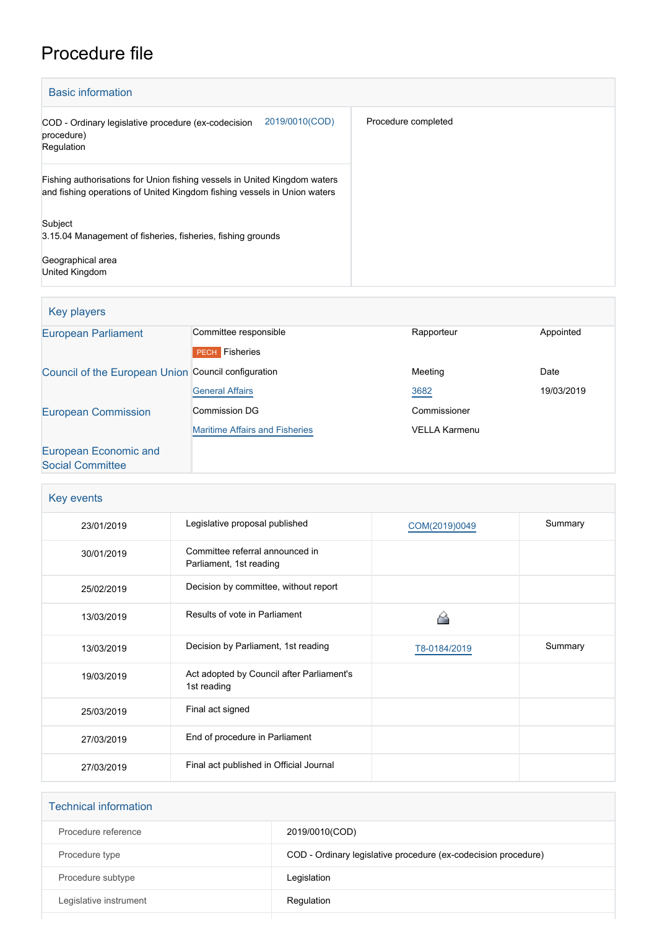## Procedure file

| <b>Basic information</b>                                                                                                                              |                     |
|-------------------------------------------------------------------------------------------------------------------------------------------------------|---------------------|
| 2019/0010(COD)<br>COD - Ordinary legislative procedure (ex-codecision<br>procedure)<br>Regulation                                                     | Procedure completed |
| Fishing authorisations for Union fishing vessels in United Kingdom waters<br>and fishing operations of United Kingdom fishing vessels in Union waters |                     |
| Subject<br>3.15.04 Management of fisheries, fisheries, fishing grounds<br>Geographical area                                                           |                     |
| United Kingdom                                                                                                                                        |                     |

| Key players                                         |                                       |                      |            |
|-----------------------------------------------------|---------------------------------------|----------------------|------------|
| <b>European Parliament</b>                          | Committee responsible                 | Rapporteur           | Appointed  |
|                                                     | <b>PECH</b> Fisheries                 |                      |            |
| Council of the European Union Council configuration |                                       | Meeting              | Date       |
|                                                     | <b>General Affairs</b>                | 3682                 | 19/03/2019 |
| <b>European Commission</b>                          | Commission DG                         | Commissioner         |            |
|                                                     | <b>Maritime Affairs and Fisheries</b> | <b>VELLA Karmenu</b> |            |
| European Economic and                               |                                       |                      |            |
| <b>Social Committee</b>                             |                                       |                      |            |

| Key events |                                                            |               |         |
|------------|------------------------------------------------------------|---------------|---------|
| 23/01/2019 | Legislative proposal published                             | COM(2019)0049 | Summary |
| 30/01/2019 | Committee referral announced in<br>Parliament, 1st reading |               |         |
| 25/02/2019 | Decision by committee, without report                      |               |         |
| 13/03/2019 | Results of vote in Parliament                              |               |         |
| 13/03/2019 | Decision by Parliament, 1st reading                        | T8-0184/2019  | Summary |
| 19/03/2019 | Act adopted by Council after Parliament's<br>1st reading   |               |         |
| 25/03/2019 | Final act signed                                           |               |         |
| 27/03/2019 | End of procedure in Parliament                             |               |         |
| 27/03/2019 | Final act published in Official Journal                    |               |         |

| <b>Technical information</b> |                                                                |
|------------------------------|----------------------------------------------------------------|
| Procedure reference          | 2019/0010(COD)                                                 |
| Procedure type               | COD - Ordinary legislative procedure (ex-codecision procedure) |
| Procedure subtype            | Legislation                                                    |
| Legislative instrument       | Regulation                                                     |
|                              |                                                                |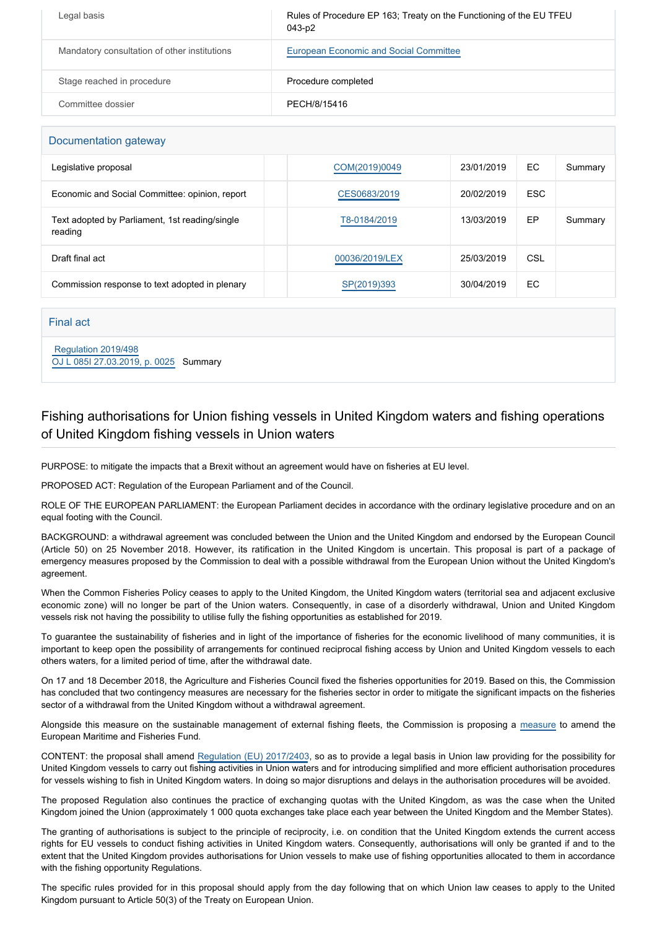| Legal basis                                  | Rules of Procedure EP 163; Treaty on the Functioning of the EU TFEU<br>043-p2 |
|----------------------------------------------|-------------------------------------------------------------------------------|
| Mandatory consultation of other institutions | European Economic and Social Committee                                        |
| Stage reached in procedure                   | Procedure completed                                                           |
| Committee dossier                            | PECH/8/15416                                                                  |

| Documentation gateway                                     |                |            |            |         |
|-----------------------------------------------------------|----------------|------------|------------|---------|
| Legislative proposal                                      | COM(2019)0049  | 23/01/2019 | EC.        | Summary |
| Economic and Social Committee: opinion, report            | CES0683/2019   | 20/02/2019 | <b>ESC</b> |         |
| Text adopted by Parliament, 1st reading/single<br>reading | T8-0184/2019   | 13/03/2019 | EP         | Summary |
| Draft final act                                           | 00036/2019/LEX | 25/03/2019 | CSL        |         |
| Commission response to text adopted in plenary            | SP(2019)393    | 30/04/2019 | EC.        |         |

Final act

 [Regulation 2019/498](https://eur-lex.europa.eu/smartapi/cgi/sga_doc?smartapi!celexplus!prod!CELEXnumdoc&lg=EN&numdoc=32019R0498) [OJ L 085I 27.03.2019, p. 0025](https://eur-lex.europa.eu/legal-content/EN/TXT/?uri=OJ:L:2019:085I:TOC) Summary

## Fishing authorisations for Union fishing vessels in United Kingdom waters and fishing operations of United Kingdom fishing vessels in Union waters

PURPOSE: to mitigate the impacts that a Brexit without an agreement would have on fisheries at EU level.

PROPOSED ACT: Regulation of the European Parliament and of the Council.

ROLE OF THE EUROPEAN PARLIAMENT: the European Parliament decides in accordance with the ordinary legislative procedure and on an equal footing with the Council.

BACKGROUND: a withdrawal agreement was concluded between the Union and the United Kingdom and endorsed by the European Council (Article 50) on 25 November 2018. However, its ratification in the United Kingdom is uncertain. This proposal is part of a package of emergency measures proposed by the Commission to deal with a possible withdrawal from the European Union without the United Kingdom's agreement.

When the Common Fisheries Policy ceases to apply to the United Kingdom, the United Kingdom waters (territorial sea and adjacent exclusive economic zone) will no longer be part of the Union waters. Consequently, in case of a disorderly withdrawal, Union and United Kingdom vessels risk not having the possibility to utilise fully the fishing opportunities as established for 2019.

To guarantee the sustainability of fisheries and in light of the importance of fisheries for the economic livelihood of many communities, it is important to keep open the possibility of arrangements for continued reciprocal fishing access by Union and United Kingdom vessels to each others waters, for a limited period of time, after the withdrawal date.

On 17 and 18 December 2018, the Agriculture and Fisheries Council fixed the fisheries opportunities for 2019. Based on this, the Commission has concluded that two contingency measures are necessary for the fisheries sector in order to mitigate the significant impacts on the fisheries sector of a withdrawal from the United Kingdom without a withdrawal agreement.

Alongside this measure on the sustainable management of external fishing fleets, the Commission is proposing a [measure](https://oeil.secure.europarl.europa.eu/oeil/popups/ficheprocedure.do?reference=2019/0009(COD)&l=en) to amend the European Maritime and Fisheries Fund.

CONTENT: the proposal shall amend [Regulation \(EU\) 2017/2403](https://eur-lex.europa.eu/legal-content/EN/TXT/?qid=1551025263022&uri=CELEX:32017R2403), so as to provide a legal basis in Union law providing for the possibility for United Kingdom vessels to carry out fishing activities in Union waters and for introducing simplified and more efficient authorisation procedures for vessels wishing to fish in United Kingdom waters. In doing so major disruptions and delays in the authorisation procedures will be avoided.

The proposed Regulation also continues the practice of exchanging quotas with the United Kingdom, as was the case when the United Kingdom joined the Union (approximately 1 000 quota exchanges take place each year between the United Kingdom and the Member States).

The granting of authorisations is subject to the principle of reciprocity, i.e. on condition that the United Kingdom extends the current access rights for EU vessels to conduct fishing activities in United Kingdom waters. Consequently, authorisations will only be granted if and to the extent that the United Kingdom provides authorisations for Union vessels to make use of fishing opportunities allocated to them in accordance with the fishing opportunity Regulations.

The specific rules provided for in this proposal should apply from the day following that on which Union law ceases to apply to the United Kingdom pursuant to Article 50(3) of the Treaty on European Union.